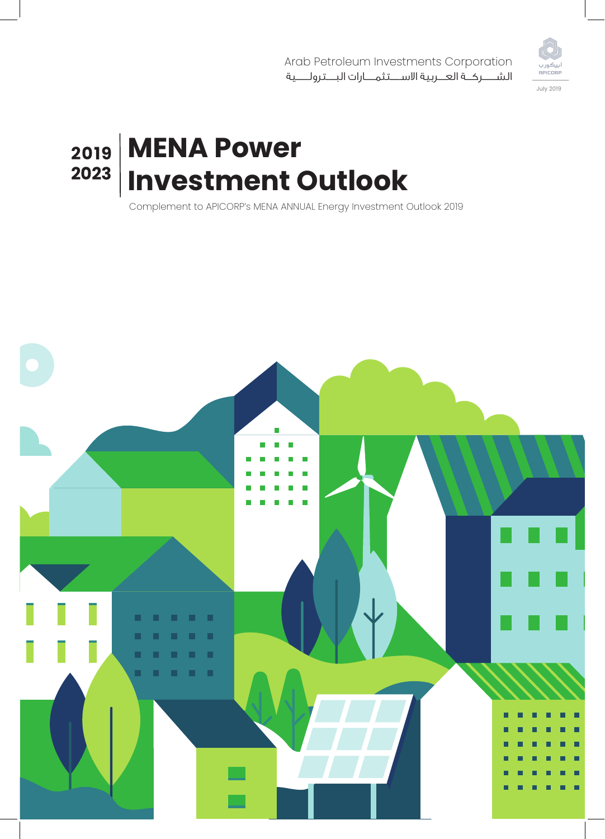Arab Petroleum Investments Corporation الشـــــــــركــــة العـــــربية االســـــــتثمـــــــارات البــــــترولـــــــــية



July 2019

# **MENA Power Investment Outlook 2019 2023**

Complement to APICORP's MENA ANNUAL Energy Investment Outlook 2019

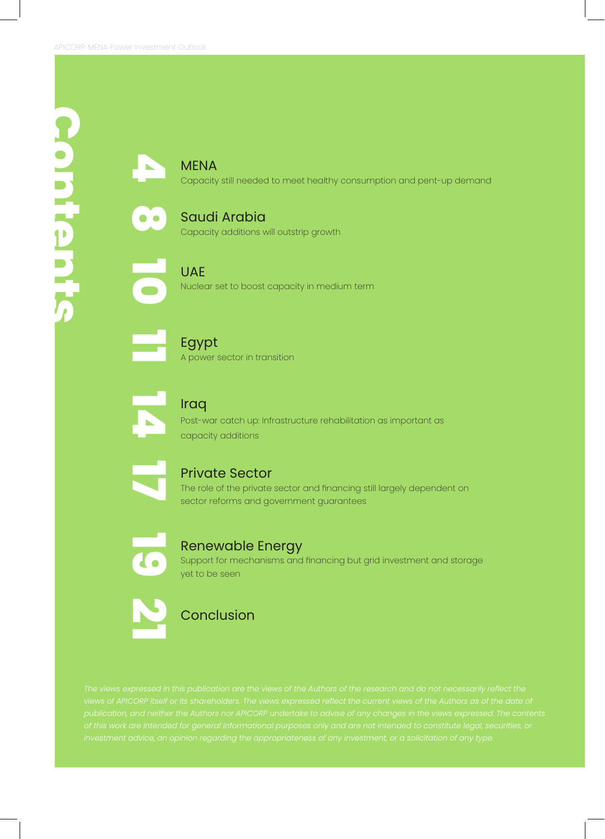

# **MENA**

Capacity still needed to meet healthy consumption and pent-up demand



Saudi Arabia Capacity additions will outstrip growth



UAE Nuclear set to boost capacity in medium term



Egypt A power sector in transition



### Iraq

Post-war catch up: Infrastructure rehabilitation as important as capacity additions



### Private Sector

The role of the private sector and financing still largely dependent on sector reforms and government guarantees



# Renewable Energy

Support for mechanisms and financing but grid investment and storage yet to be seen



Conclusion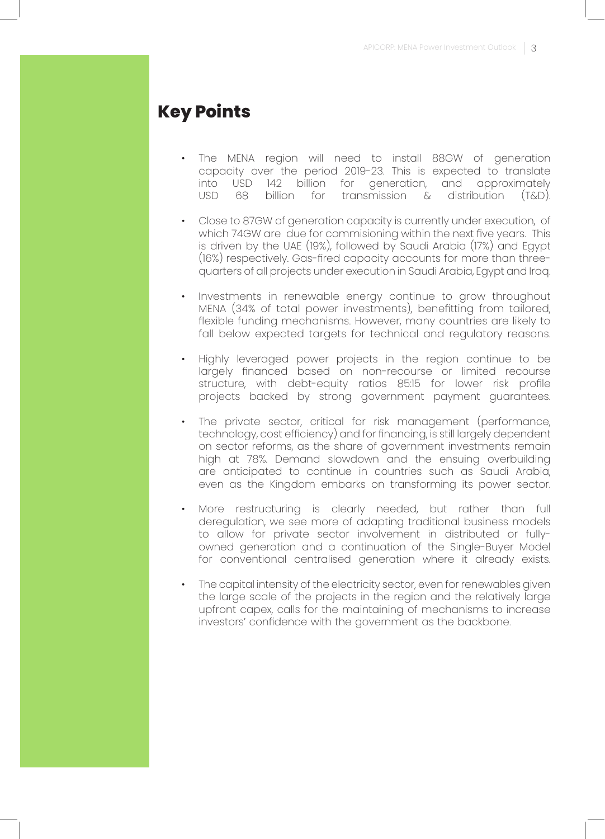# **Key Points**

- The MENA region will need to install 88GW of generation capacity over the period 2019-23. This is expected to translate into USD 142 billion for generation, and approximately<br>USD 68 billion for transmission & distribution (T&D). USD 68 billion for transmission  $\&$
- Close to 87GW of generation capacity is currently under execution, of which 74GW are due for commisioning within the next five years. This is driven by the UAE (19%), followed by Saudi Arabia (17%) and Egypt (16%) respectively. Gas-fired capacity accounts for more than threequarters of all projects under execution in Saudi Arabia, Egypt and Iraq.
- Investments in renewable energy continue to grow throughout MENA (34% of total power investments), benefitting from tailored, flexible funding mechanisms. However, many countries are likely to fall below expected targets for technical and regulatory reasons.
- Highly leveraged power projects in the region continue to be largely financed based on non-recourse or limited recourse structure, with debt-equity ratios 85:15 for lower risk profile projects backed by strong government payment guarantees.
- The private sector, critical for risk management (performance, technology, cost efficiency) and for financing, is still largely dependent on sector reforms, as the share of government investments remain high at 78%. Demand slowdown and the ensuing overbuilding are anticipated to continue in countries such as Saudi Arabia, even as the Kingdom embarks on transforming its power sector.
- More restructuring is clearly needed, but rather than full deregulation, we see more of adapting traditional business models to allow for private sector involvement in distributed or fullyowned generation and a continuation of the Single-Buyer Model for conventional centralised generation where it already exists.
- The capital intensity of the electricity sector, even for renewables given the large scale of the projects in the region and the relatively large upfront capex, calls for the maintaining of mechanisms to increase investors' confidence with the government as the backbone.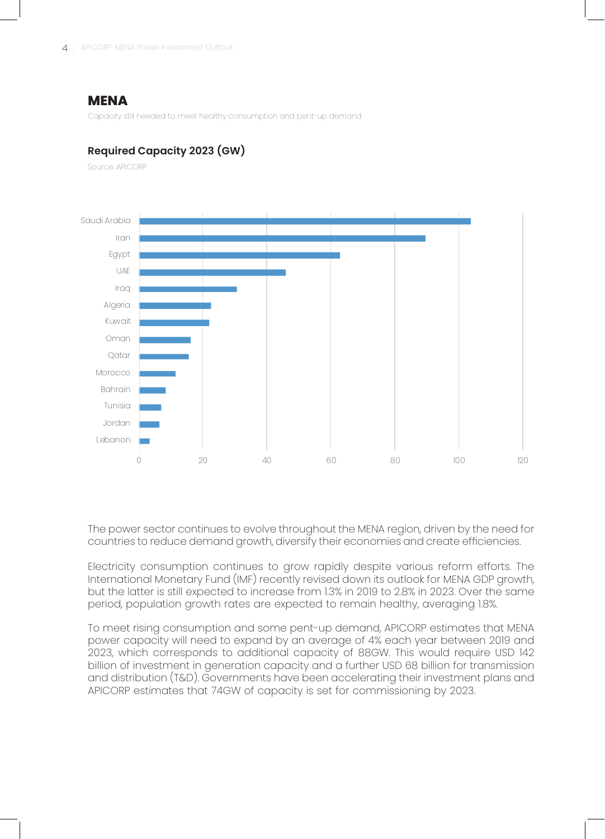### **MENA**

Capacity still needed to meet healthy consumption and pent-up demand

### **Required Capacity 2023 (GW)**

Source: APICORP



The power sector continues to evolve throughout the MENA region, driven by the need for countries to reduce demand growth, diversify their economies and create efficiencies.

Electricity consumption continues to grow rapidly despite various reform efforts. The International Monetary Fund (IMF) recently revised down its outlook for MENA GDP growth, but the latter is still expected to increase from 1.3% in 2019 to 2.8% in 2023. Over the same period, population growth rates are expected to remain healthy, averaging 1.8%.

To meet rising consumption and some pent-up demand, APICORP estimates that MENA power capacity will need to expand by an average of 4% each year between 2019 and 2023, which corresponds to additional capacity of 88GW. This would require USD 142 billion of investment in generation capacity and a further USD 68 billion for transmission and distribution (T&D). Governments have been accelerating their investment plans and APICORP estimates that 74GW of capacity is set for commissioning by 2023.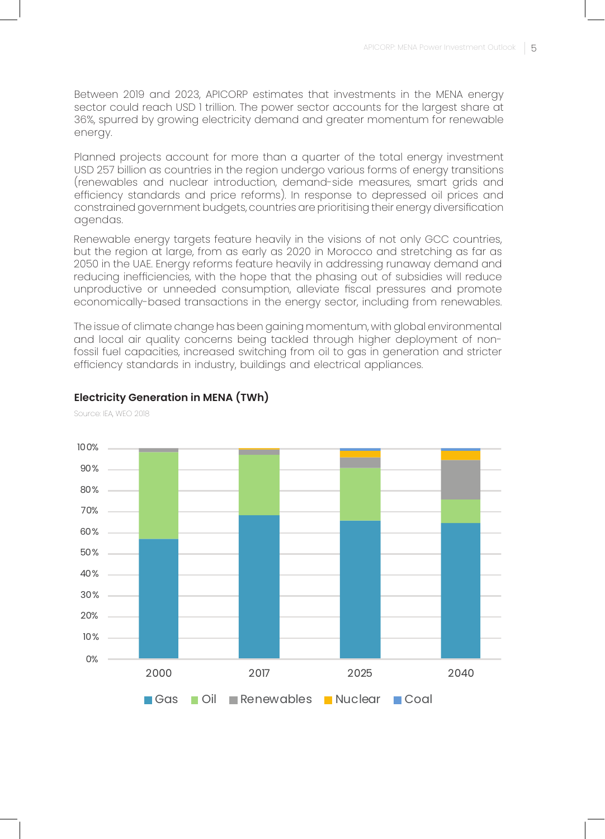Between 2019 and 2023, APICORP estimates that investments in the MENA energy sector could reach USD 1 trillion. The power sector accounts for the largest share at 36%, spurred by growing electricity demand and greater momentum for renewable energy.

Planned projects account for more than a quarter of the total energy investment USD 257 billion as countries in the region undergo various forms of energy transitions (renewables and nuclear introduction, demand-side measures, smart grids and efficiency standards and price reforms). In response to depressed oil prices and constrained government budgets, countries are prioritising their energy diversification agendas.

Renewable energy targets feature heavily in the visions of not only GCC countries, but the region at large, from as early as 2020 in Morocco and stretching as far as 2050 in the UAE. Energy reforms feature heavily in addressing runaway demand and reducing inefficiencies, with the hope that the phasing out of subsidies will reduce unproductive or unneeded consumption, alleviate fiscal pressures and promote economically-based transactions in the energy sector, including from renewables.

The issue of climate change has been gaining momentum, with global environmental and local air quality concerns being tackled through higher deployment of nonfossil fuel capacities, increased switching from oil to gas in generation and stricter efficiency standards in industry, buildings and electrical appliances.



#### **Electricity Generation in MENA (TWh)**

Source: IEA, WEO 2018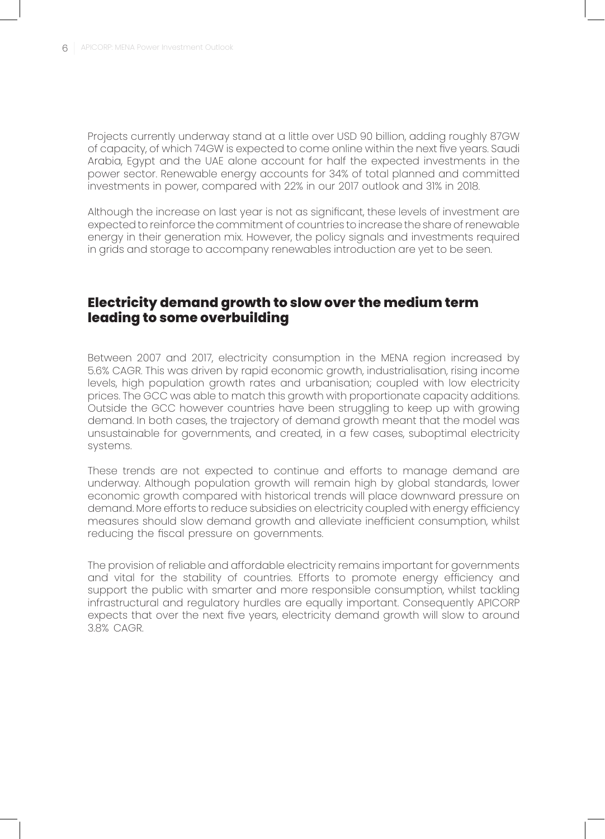Projects currently underway stand at a little over USD 90 billion, adding roughly 87GW of capacity, of which 74GW is expected to come online within the next five years. Saudi Arabia, Egypt and the UAE alone account for half the expected investments in the power sector. Renewable energy accounts for 34% of total planned and committed investments in power, compared with 22% in our 2017 outlook and 31% in 2018.

Although the increase on last year is not as significant, these levels of investment are expected to reinforce the commitment of countries to increase the share of renewable energy in their generation mix. However, the policy signals and investments required in grids and storage to accompany renewables introduction are yet to be seen.

## **Electricity demand growth to slow over the medium term leading to some overbuilding**

Between 2007 and 2017, electricity consumption in the MENA region increased by 5.6% CAGR. This was driven by rapid economic growth, industrialisation, rising income levels, high population growth rates and urbanisation; coupled with low electricity prices. The GCC was able to match this growth with proportionate capacity additions. Outside the GCC however countries have been struggling to keep up with growing demand. In both cases, the trajectory of demand growth meant that the model was unsustainable for governments, and created, in a few cases, suboptimal electricity systems.

These trends are not expected to continue and efforts to manage demand are underway. Although population growth will remain high by global standards, lower economic growth compared with historical trends will place downward pressure on demand. More efforts to reduce subsidies on electricity coupled with energy efficiency measures should slow demand growth and alleviate inefficient consumption, whilst reducing the fiscal pressure on governments.

The provision of reliable and affordable electricity remains important for governments and vital for the stability of countries. Efforts to promote energy efficiency and support the public with smarter and more responsible consumption, whilst tackling infrastructural and regulatory hurdles are equally important. Consequently APICORP expects that over the next five years, electricity demand growth will slow to around 3.8% CAGR.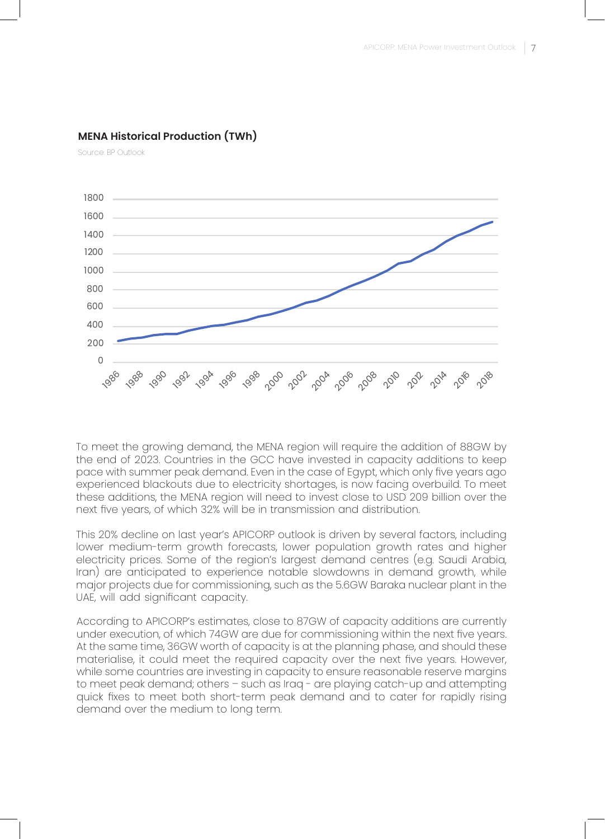

#### **MENA Historical Production (TWh)**

Source: BP Outlook

To meet the growing demand, the MENA region will require the addition of 88GW by the end of 2023. Countries in the GCC have invested in capacity additions to keep pace with summer peak demand. Even in the case of Egypt, which only five years ago experienced blackouts due to electricity shortages, is now facing overbuild. To meet these additions, the MENA region will need to invest close to USD 209 billion over the next five years, of which 32% will be in transmission and distribution.

This 20% decline on last year's APICORP outlook is driven by several factors, including lower medium-term growth forecasts, lower population growth rates and higher electricity prices. Some of the region's largest demand centres (e.g. Saudi Arabia, Iran) are anticipated to experience notable slowdowns in demand growth, while major projects due for commissioning, such as the 5.6GW Baraka nuclear plant in the UAE, will add significant capacity.

According to APICORP's estimates, close to 87GW of capacity additions are currently under execution, of which 74GW are due for commissioning within the next five years. At the same time, 36GW worth of capacity is at the planning phase, and should these materialise, it could meet the required capacity over the next five years. However, while some countries are investing in capacity to ensure reasonable reserve margins to meet peak demand; others – such as Iraq - are playing catch-up and attempting quick fixes to meet both short-term peak demand and to cater for rapidly rising demand over the medium to long term.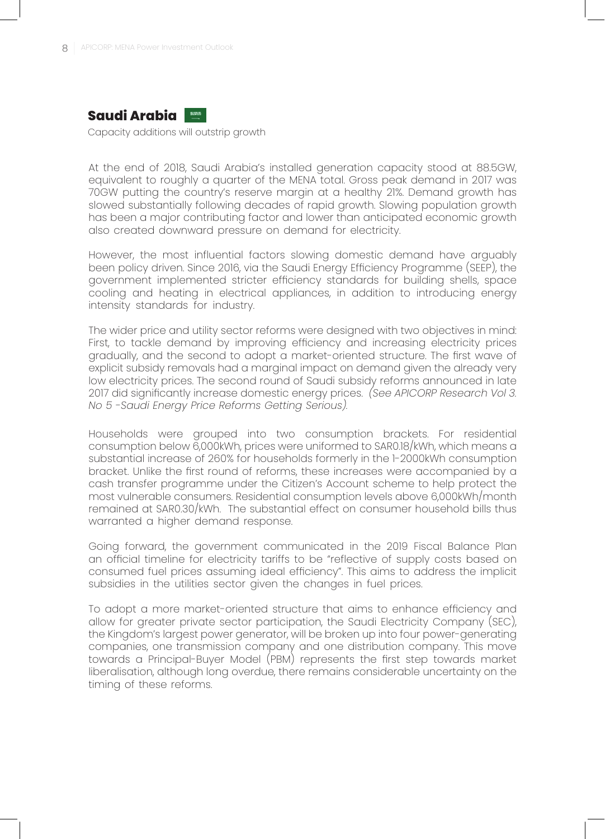

Capacity additions will outstrip growth

At the end of 2018, Saudi Arabia's installed generation capacity stood at 88.5GW, equivalent to roughly a quarter of the MENA total. Gross peak demand in 2017 was 70GW putting the country's reserve margin at a healthy 21%. Demand growth has slowed substantially following decades of rapid growth. Slowing population growth has been a major contributing factor and lower than anticipated economic growth also created downward pressure on demand for electricity.

However, the most influential factors slowing domestic demand have arguably been policy driven. Since 2016, via the Saudi Energy Efficiency Programme (SEEP), the government implemented stricter efficiency standards for building shells, space cooling and heating in electrical appliances, in addition to introducing energy intensity standards for industry.

The wider price and utility sector reforms were designed with two objectives in mind: First, to tackle demand by improving efficiency and increasing electricity prices gradually, and the second to adopt a market-oriented structure. The first wave of explicit subsidy removals had a marginal impact on demand given the already very low electricity prices. The second round of Saudi subsidy reforms announced in late 2017 did significantly increase domestic energy prices. *(See APICORP Research Vol 3. No 5 -Saudi Energy Price Reforms Getting Serious).*

Households were grouped into two consumption brackets. For residential consumption below 6,000kWh, prices were uniformed to SAR0.18/kWh, which means a substantial increase of 260% for households formerly in the 1-2000kWh consumption bracket. Unlike the first round of reforms, these increases were accompanied by a cash transfer programme under the Citizen's Account scheme to help protect the most vulnerable consumers. Residential consumption levels above 6,000kWh/month remained at SAR0.30/kWh. The substantial effect on consumer household bills thus warranted a higher demand response.

Going forward, the government communicated in the 2019 Fiscal Balance Plan an official timeline for electricity tariffs to be "reflective of supply costs based on consumed fuel prices assuming ideal efficiency". This aims to address the implicit subsidies in the utilities sector given the changes in fuel prices.

To adopt a more market-oriented structure that aims to enhance efficiency and allow for greater private sector participation, the Saudi Electricity Company (SEC), the Kingdom's largest power generator, will be broken up into four power-generating companies, one transmission company and one distribution company. This move towards a Principal-Buyer Model (PBM) represents the first step towards market liberalisation, although long overdue, there remains considerable uncertainty on the timing of these reforms.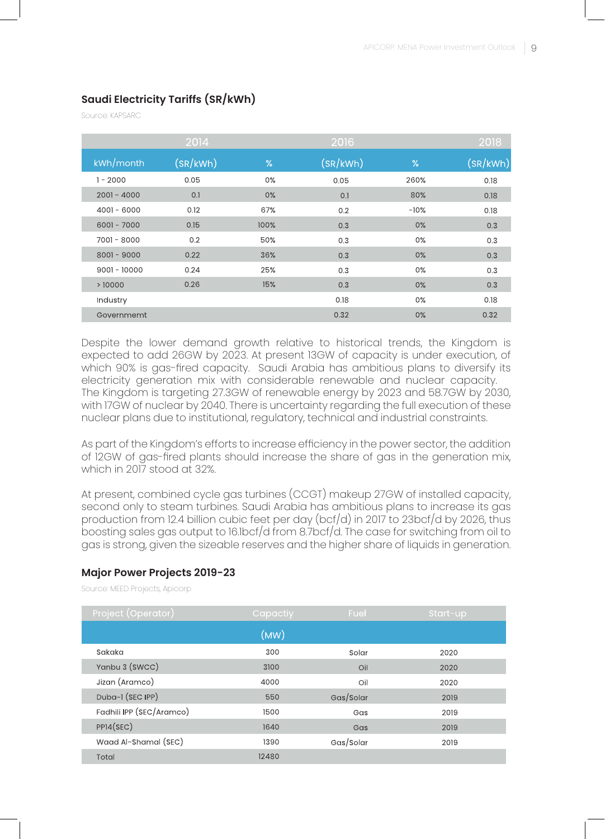### **Saudi Electricity Tariffs (SR/kWh)**

Source: KAPSARC

|                | 2014     |      | 2016     |        | 2018     |
|----------------|----------|------|----------|--------|----------|
| kWh/month      | (sR/kWh) | $\%$ | (SR/kWh) | $\%$   | (SR/kWh) |
| 1 - 2000       | 0.05     | 0%   | 0.05     | 260%   | 0.18     |
| $2001 - 4000$  | 0.1      | 0%   | 0.1      | 80%    | 0.18     |
| $4001 - 6000$  | 0.12     | 67%  | 0.2      | $-10%$ | 0.18     |
| $6001 - 7000$  | 0.15     | 100% | 0.3      | 0%     | 0.3      |
| $7001 - 8000$  | 0.2      | 50%  | 0.3      | $0\%$  | 0.3      |
| $8001 - 9000$  | 0.22     | 36%  | 0.3      | 0%     | 0.3      |
| $9001 - 10000$ | 0.24     | 25%  | 0.3      | $0\%$  | 0.3      |
| >10000         | 0.26     | 15%  | 0.3      | 0%     | 0.3      |
| Industry       |          |      | 0.18     | $0\%$  | 0.18     |
| Governmemt     |          |      | 0.32     | 0%     | 0.32     |

Despite the lower demand growth relative to historical trends, the Kingdom is expected to add 26GW by 2023. At present 13GW of capacity is under execution, of which 90% is gas-fired capacity. Saudi Arabia has ambitious plans to diversify its electricity generation mix with considerable renewable and nuclear capacity. The Kingdom is targeting 27.3GW of renewable energy by 2023 and 58.7GW by 2030, with 17GW of nuclear by 2040. There is uncertainty regarding the full execution of these nuclear plans due to institutional, regulatory, technical and industrial constraints.

As part of the Kingdom's efforts to increase efficiency in the power sector, the addition of 12GW of gas-fired plants should increase the share of gas in the generation mix, which in 2017 stood at 32%.

At present, combined cycle gas turbines (CCGT) makeup 27GW of installed capacity, second only to steam turbines. Saudi Arabia has ambitious plans to increase its gas production from 12.4 billion cubic feet per day (bcf/d) in 2017 to 23bcf/d by 2026, thus boosting sales gas output to 16.1bcf/d from 8.7bcf/d. The case for switching from oil to gas is strong, given the sizeable reserves and the higher share of liquids in generation.

#### **Major Power Projects 2019-23**

Source: MEED Projects, Apicorp

| Project (Operator)       | Capactiy | <b>Fuel</b> | Start-up |
|--------------------------|----------|-------------|----------|
|                          | (MW)     |             |          |
| Sakaka                   | 300      | Solar       | 2020     |
| Yanbu 3 (SWCC)           | 3100     | Oil         | 2020     |
| Jizan (Aramco)           | 4000     | Oil         | 2020     |
| Duba-1 (SEC IPP)         | 550      | Gas/Solar   | 2019     |
| Fadhili IPP (SEC/Aramco) | 1500     | Gas         | 2019     |
| PP14(SEC)                | 1640     | Gas         | 2019     |
| Waad Al-Shamal (SEC)     | 1390     | Gas/Solar   | 2019     |
| Total                    | 12480    |             |          |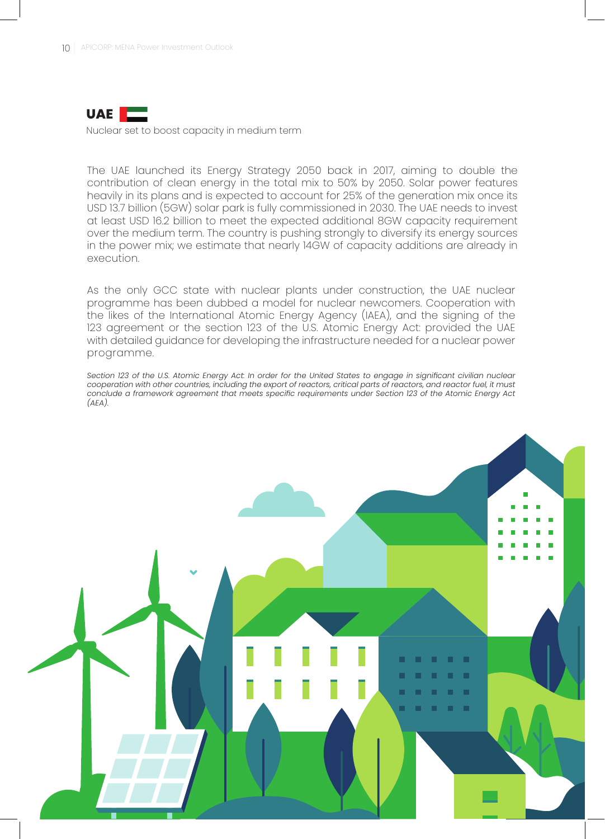

Nuclear set to boost capacity in medium term

The UAE launched its Energy Strategy 2050 back in 2017, aiming to double the contribution of clean energy in the total mix to 50% by 2050. Solar power features heavily in its plans and is expected to account for 25% of the generation mix once its USD 13.7 billion (5GW) solar park is fully commissioned in 2030. The UAE needs to invest at least USD 16.2 billion to meet the expected additional 8GW capacity requirement over the medium term. The country is pushing strongly to diversify its energy sources in the power mix; we estimate that nearly 14GW of capacity additions are already in execution.

As the only GCC state with nuclear plants under construction, the UAE nuclear programme has been dubbed a model for nuclear newcomers. Cooperation with the likes of the International Atomic Energy Agency (IAEA), and the signing of the 123 agreement or the section 123 of the U.S. Atomic Energy Act: provided the UAE with detailed guidance for developing the infrastructure needed for a nuclear power programme.

Section 123 of the U.S. Atomic Energy Act: In order for the United States to engage in significant civilian nuclear *cooperation with other countries, including the export of reactors, critical parts of reactors, and reactor fuel, it must conclude a framework agreement that meets specific requirements under Section 123 of the Atomic Energy Act (AEA).*

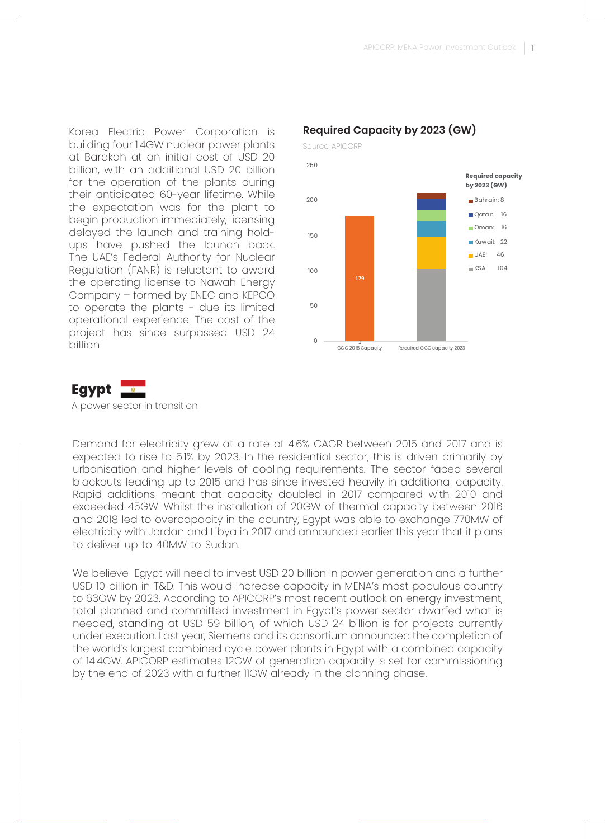Korea Electric Power Corporation is building four 1.4GW nuclear power plants at Barakah at an initial cost of USD 20 billion, with an additional USD 20 billion for the operation of the plants during their anticipated 60-year lifetime. While the expectation was for the plant to begin production immediately, licensing delayed the launch and training holdups have pushed the launch back. The UAE's Federal Authority for Nuclear Regulation (FANR) is reluctant to award the operating license to Nawah Energy Company – formed by ENEC and KEPCO to operate the plants - due its limited operational experience. The cost of the project has since surpassed USD 24 billion.



#### **Required Capacity by 2023 (GW)**



A power sector in transition

Demand for electricity grew at a rate of 4.6% CAGR between 2015 and 2017 and is expected to rise to 5.1% by 2023. In the residential sector, this is driven primarily by urbanisation and higher levels of cooling requirements. The sector faced several blackouts leading up to 2015 and has since invested heavily in additional capacity. Rapid additions meant that capacity doubled in 2017 compared with 2010 and exceeded 45GW. Whilst the installation of 20GW of thermal capacity between 2016 and 2018 led to overcapacity in the country, Egypt was able to exchange 770MW of electricity with Jordan and Libya in 2017 and announced earlier this year that it plans to deliver up to 40MW to Sudan.

We believe Egypt will need to invest USD 20 billion in power generation and a further USD 10 billion in T&D. This would increase capacity in MENA's most populous country to 63GW by 2023. According to APICORP's most recent outlook on energy investment, total planned and committed investment in Egypt's power sector dwarfed what is needed, standing at USD 59 billion, of which USD 24 billion is for projects currently under execution. Last year, Siemens and its consortium announced the completion of the world's largest combined cycle power plants in Egypt with a combined capacity of 14.4GW. APICORP estimates 12GW of generation capacity is set for commissioning by the end of 2023 with a further 11GW already in the planning phase.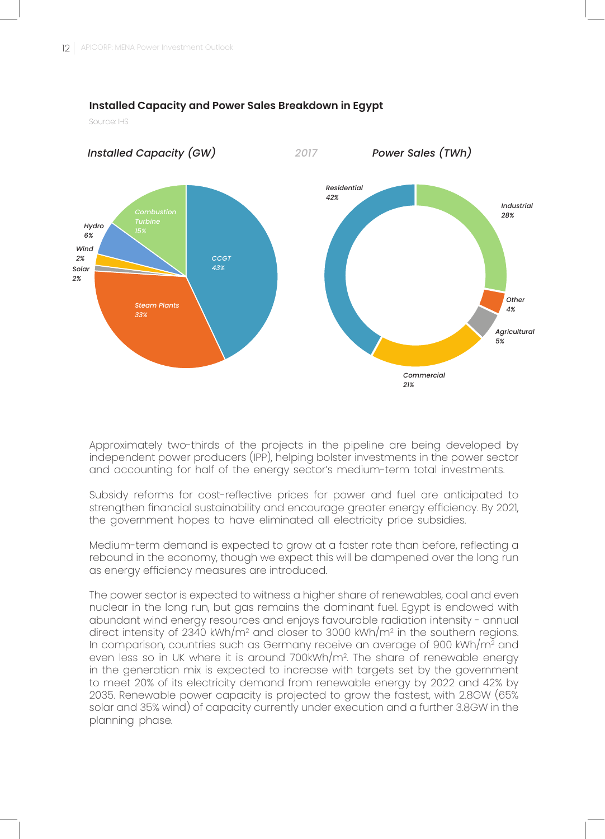#### **Installed Capacity and Power Sales Breakdown in Egypt**

Source: IHS



Approximately two-thirds of the projects in the pipeline are being developed by independent power producers (IPP), helping bolster investments in the power sector and accounting for half of the energy sector's medium-term total investments.

Subsidy reforms for cost-reflective prices for power and fuel are anticipated to strengthen financial sustainability and encourage greater energy efficiency. By 2021, the government hopes to have eliminated all electricity price subsidies.

Medium-term demand is expected to grow at a faster rate than before, reflecting a rebound in the economy, though we expect this will be dampened over the long run as energy efficiency measures are introduced.

The power sector is expected to witness a higher share of renewables, coal and even nuclear in the long run, but gas remains the dominant fuel. Egypt is endowed with abundant wind energy resources and enjoys favourable radiation intensity - annual direct intensity of 2340 kWh/m<sup>2</sup> and closer to 3000 kWh/m<sup>2</sup> in the southern regions. In comparison, countries such as Germany receive an average of 900 kWh/m2 and even less so in UK where it is around 700kWh/m2 . The share of renewable energy in the generation mix is expected to increase with targets set by the government to meet 20% of its electricity demand from renewable energy by 2022 and 42% by 2035. Renewable power capacity is projected to grow the fastest, with 2.8GW (65% solar and 35% wind) of capacity currently under execution and a further 3.8GW in the planning phase.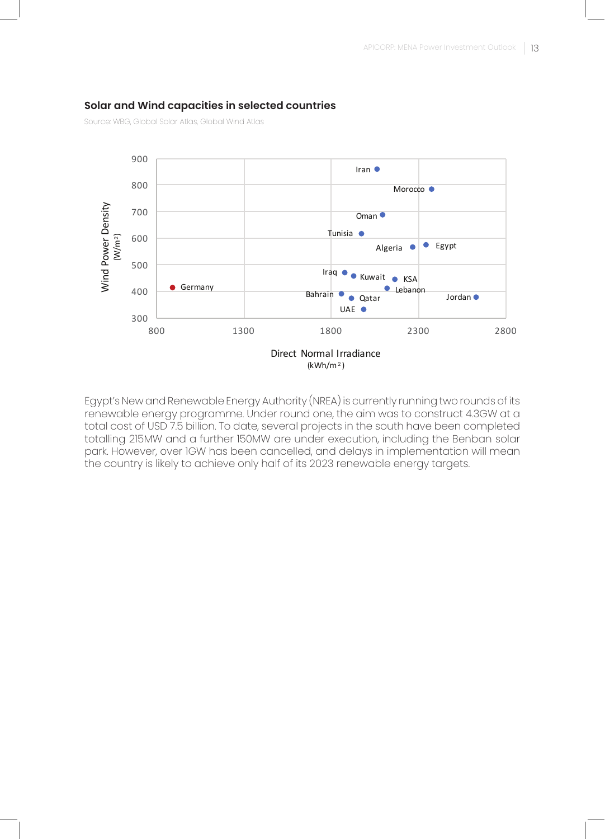#### **Solar and Wind capacities in selected countries**

Source: WBG, Global Solar Atlas, Global Wind Atlas



Egypt's New and Renewable Energy Authority (NREA) is currently running two rounds of its renewable energy programme. Under round one, the aim was to construct 4.3GW at a total cost of USD 7.5 billion. To date, several projects in the south have been completed totalling 215MW and a further 150MW are under execution, including the Benban solar park. However, over 1GW has been cancelled, and delays in implementation will mean the country is likely to achieve only half of its 2023 renewable energy targets.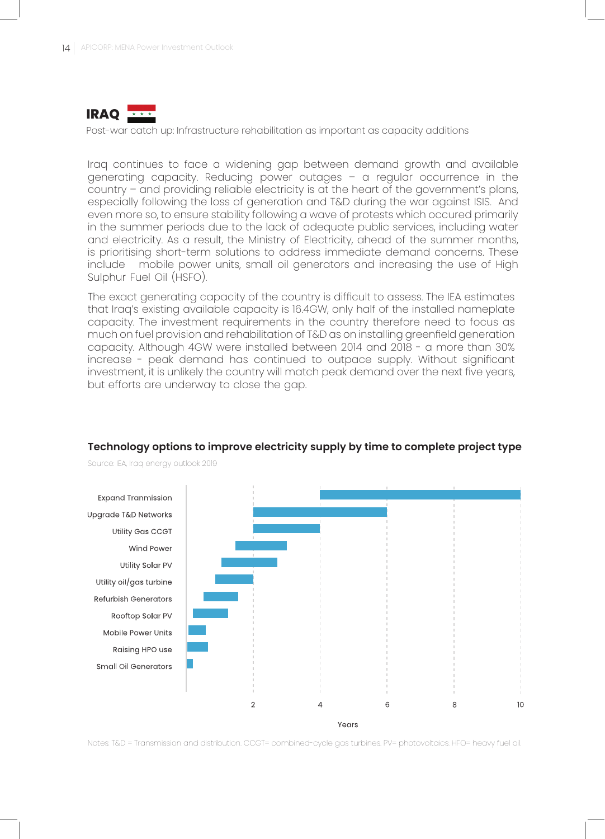Source: IEA, Iraq energy outlook 2019



Post-war catch up: Infrastructure rehabilitation as important as capacity additions

Iraq continues to face a widening gap between demand growth and available generating capacity. Reducing power outages – a regular occurrence in the country – and providing reliable electricity is at the heart of the government's plans, especially following the loss of generation and T&D during the war against ISIS. And even more so, to ensure stability following a wave of protests which occured primarily in the summer periods due to the lack of adequate public services, including water and electricity. As a result, the Ministry of Electricity, ahead of the summer months, is prioritising short-term solutions to address immediate demand concerns. These include mobile power units, small oil generators and increasing the use of High Sulphur Fuel Oil (HSFO).

The exact generating capacity of the country is difficult to assess. The IEA estimates that Iraq's existing available capacity is 16.4GW, only half of the installed nameplate capacity. The investment requirements in the country therefore need to focus as much on fuel provision and rehabilitation of T&D as on installing greenfield generation capacity. Although 4GW were installed between 2014 and 2018 - a more than 30% increase - peak demand has continued to outpace supply. Without significant investment, it is unlikely the country will match peak demand over the next five years, but efforts are underway to close the gap.



### **Technology options to improve electricity supply by time to complete project type**

Notes: T&D = Transmission and distribution. CCGT= combined-cycle gas turbines. PV= photovoltaics. HFO= heavy fuel oil.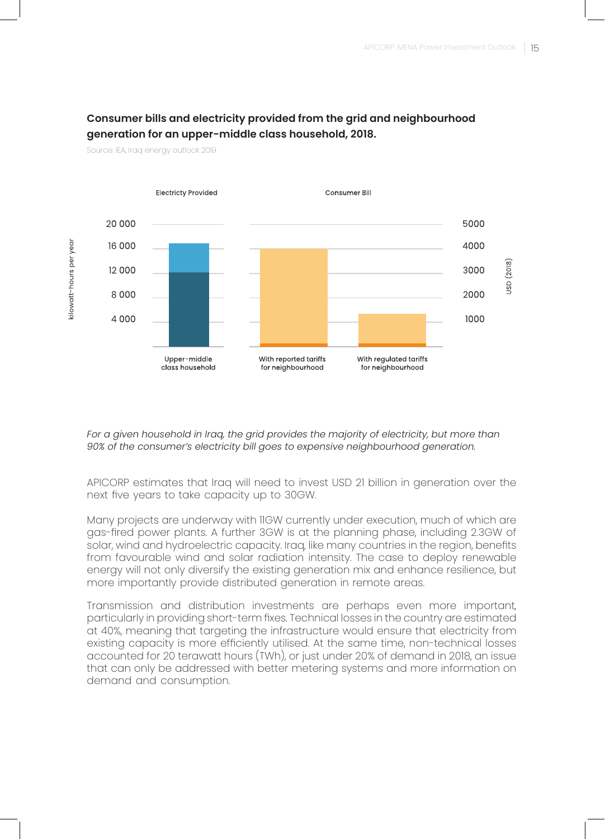

### **Consumer bills and electricity provided from the grid and neighbourhood generation for an upper-middle class household, 2018.**

Source: IEA, Iraq energy outlook 2019

For a given household in Iraq, the grid provides the majority of electricity, but more than *90% of the consumer's electricity bill goes to expensive neighbourhood generation.*

APICORP estimates that Iraq will need to invest USD 21 billion in generation over the next five years to take capacity up to 30GW.

Many projects are underway with 11GW currently under execution, much of which are gas-fired power plants. A further 3GW is at the planning phase, including 2.3GW of solar, wind and hydroelectric capacity. Iraq, like many countries in the region, benefits from favourable wind and solar radiation intensity. The case to deploy renewable energy will not only diversify the existing generation mix and enhance resilience, but more importantly provide distributed generation in remote areas.

Transmission and distribution investments are perhaps even more important, particularly in providing short-term fixes. Technical losses in the country are estimated at 40%, meaning that targeting the infrastructure would ensure that electricity from existing capacity is more efficiently utilised. At the same time, non-technical losses accounted for 20 terawatt hours (TWh), or just under 20% of demand in 2018, an issue that can only be addressed with better metering systems and more information on demand and consumption.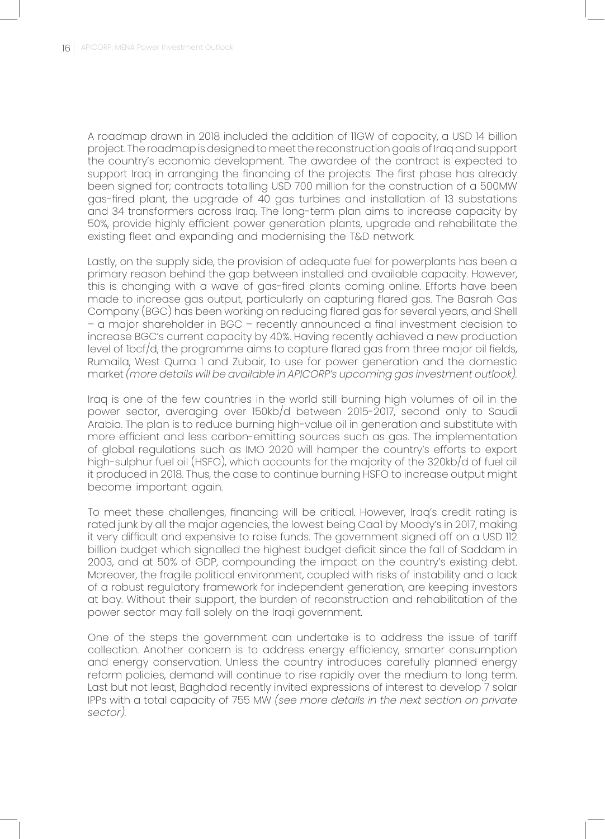A roadmap drawn in 2018 included the addition of 11GW of capacity, a USD 14 billion project. The roadmap is designed to meet the reconstruction goals of Iraq and support the country's economic development. The awardee of the contract is expected to support Iraq in arranging the financing of the projects. The first phase has already been signed for; contracts totalling USD 700 million for the construction of a 500MW gas-fired plant, the upgrade of 40 gas turbines and installation of 13 substations and 34 transformers across Iraq. The long-term plan aims to increase capacity by 50%, provide highly efficient power generation plants, upgrade and rehabilitate the existing fleet and expanding and modernising the T&D network.

Lastly, on the supply side, the provision of adequate fuel for powerplants has been a primary reason behind the gap between installed and available capacity. However, this is changing with a wave of gas-fired plants coming online. Efforts have been made to increase gas output, particularly on capturing flared gas. The Basrah Gas Company (BGC) has been working on reducing flared gas for several years, and Shell – a major shareholder in BGC – recently announced a final investment decision to increase BGC's current capacity by 40%. Having recently achieved a new production level of 1bcf/d, the programme aims to capture flared gas from three major oil fields, Rumaila, West Qurna 1 and Zubair, to use for power generation and the domestic market *(more details will be available in APICORP's upcoming gas investment outlook).*

Iraq is one of the few countries in the world still burning high volumes of oil in the power sector, averaging over 150kb/d between 2015-2017, second only to Saudi Arabia. The plan is to reduce burning high-value oil in generation and substitute with more efficient and less carbon-emitting sources such as gas. The implementation of global regulations such as IMO 2020 will hamper the country's efforts to export high-sulphur fuel oil (HSFO), which accounts for the majority of the 320kb/d of fuel oil it produced in 2018. Thus, the case to continue burning HSFO to increase output might become important again.

To meet these challenges, financing will be critical. However, Iraq's credit rating is rated junk by all the major agencies, the lowest being Caa1 by Moody's in 2017, making it very difficult and expensive to raise funds. The government signed off on a USD 112 billion budget which signalled the highest budget deficit since the fall of Saddam in 2003, and at 50% of GDP, compounding the impact on the country's existing debt. Moreover, the fragile political environment, coupled with risks of instability and a lack of a robust regulatory framework for independent generation, are keeping investors at bay. Without their support, the burden of reconstruction and rehabilitation of the power sector may fall solely on the Iraqi government.

One of the steps the government can undertake is to address the issue of tariff collection. Another concern is to address energy efficiency, smarter consumption and energy conservation. Unless the country introduces carefully planned energy reform policies, demand will continue to rise rapidly over the medium to long term. Last but not least, Baghdad recently invited expressions of interest to develop 7 solar IPPs with a total capacity of 755 MW *(see more details in the next section on private sector).*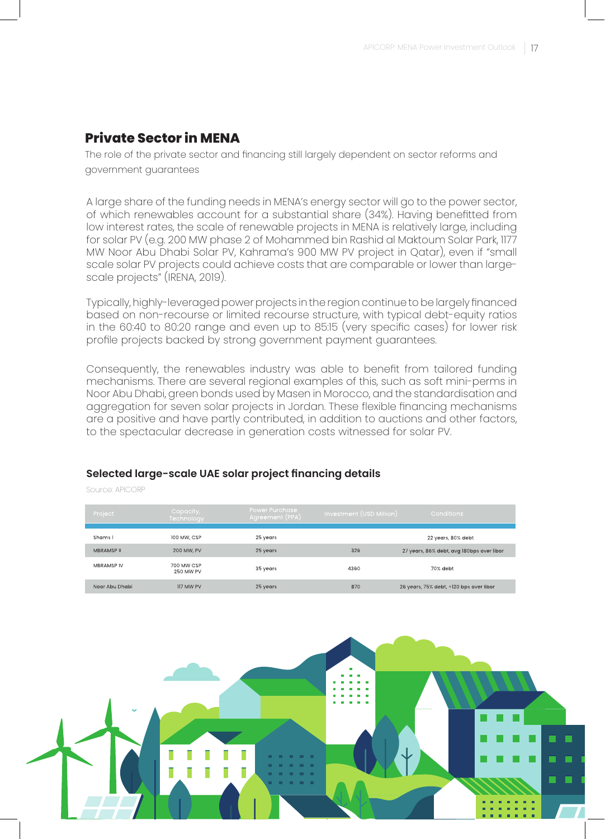# **Private Sector in MENA**

The role of the private sector and financing still largely dependent on sector reforms and government guarantees

A large share of the funding needs in MENA's energy sector will go to the power sector, of which renewables account for a substantial share (34%). Having benefitted from low interest rates, the scale of renewable projects in MENA is relatively large, including for solar PV (e.g. 200 MW phase 2 of Mohammed bin Rashid al Maktoum Solar Park, 1177 MW Noor Abu Dhabi Solar PV, Kahrama's 900 MW PV project in Qatar), even if "small scale solar PV projects could achieve costs that are comparable or lower than largescale projects" (IRENA, 2019).

Typically, highly-leveraged power projects in the region continue to be largely financed based on non-recourse or limited recourse structure, with typical debt-equity ratios in the 60:40 to 80:20 range and even up to 85:15 (very specific cases) for lower risk profile projects backed by strong government payment guarantees.

Consequently, the renewables industry was able to benefit from tailored funding mechanisms. There are several regional examples of this, such as soft mini-perms in Noor Abu Dhabi, green bonds used by Masen in Morocco, and the standardisation and aggregation for seven solar projects in Jordan. These flexible financing mechanisms are a positive and have partly contributed, in addition to auctions and other factors, to the spectacular decrease in generation costs witnessed for solar PV.

#### **Selected large-scale UAE solar project financing details**

Source: APICORP

| Project          | Capacity,<br>Technology | <b>Power Purchase</b><br>Agreement (PPA) | Investment (USD Million) | Conditions                                |
|------------------|-------------------------|------------------------------------------|--------------------------|-------------------------------------------|
|                  |                         |                                          |                          |                                           |
| Shams 1          | 100 MW, CSP             | 25 years                                 |                          | 22 years, 80% debt                        |
| MBRAMSP II       | 200 MW, PV              | 25 years                                 | 326                      | 27 years, 86% debt, avg 180bps over libor |
| <b>MBRAMSPIV</b> | 700 MW CSP<br>250 MW PV | 35 years                                 | 4360                     | 70% debt                                  |
| Noor Abu Dhabi   | 117 MW PV               | 25 years                                 | 870                      | 26 years, 75% debt, +120 bps over libor   |

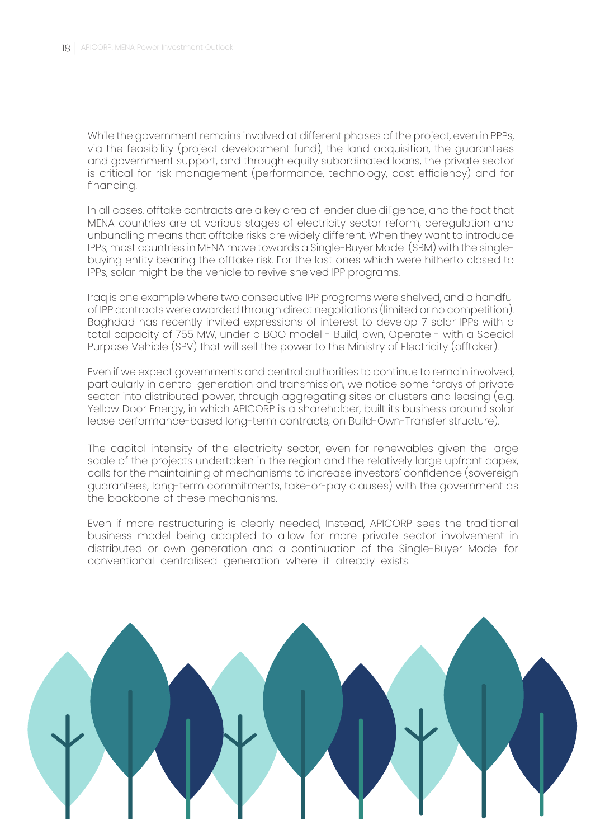While the government remains involved at different phases of the project, even in PPPs, via the feasibility (project development fund), the land acquisition, the guarantees and government support, and through equity subordinated loans, the private sector is critical for risk management (performance, technology, cost efficiency) and for financing.

In all cases, offtake contracts are a key area of lender due diligence, and the fact that MENA countries are at various stages of electricity sector reform, deregulation and unbundling means that offtake risks are widely different. When they want to introduce IPPs, most countries in MENA move towards a Single-Buyer Model (SBM) with the singlebuying entity bearing the offtake risk. For the last ones which were hitherto closed to IPPs, solar might be the vehicle to revive shelved IPP programs.

Iraq is one example where two consecutive IPP programs were shelved, and a handful of IPP contracts were awarded through direct negotiations (limited or no competition). Baghdad has recently invited expressions of interest to develop 7 solar IPPs with a total capacity of 755 MW, under a BOO model - Build, own, Operate - with a Special Purpose Vehicle (SPV) that will sell the power to the Ministry of Electricity (offtaker).

Even if we expect governments and central authorities to continue to remain involved, particularly in central generation and transmission, we notice some forays of private sector into distributed power, through aggregating sites or clusters and leasing (e.g. Yellow Door Energy, in which APICORP is a shareholder, built its business around solar lease performance-based long-term contracts, on Build-Own-Transfer structure).

The capital intensity of the electricity sector, even for renewables given the large scale of the projects undertaken in the region and the relatively large upfront capex, calls for the maintaining of mechanisms to increase investors' confidence (sovereign guarantees, long-term commitments, take-or-pay clauses) with the government as the backbone of these mechanisms.

Even if more restructuring is clearly needed, Instead, APICORP sees the traditional business model being adapted to allow for more private sector involvement in distributed or own generation and a continuation of the Single-Buyer Model for conventional centralised generation where it already exists.

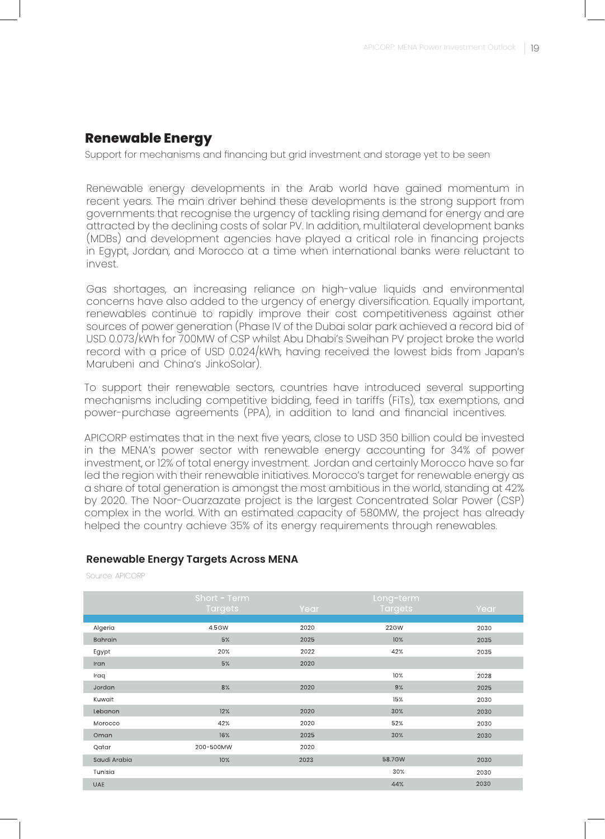### **Renewable Energy**

Support for mechanisms and financing but grid investment and storage yet to be seen

Renewable energy developments in the Arab world have gained momentum in recent years. The main driver behind these developments is the strong support from governments that recognise the urgency of tackling rising demand for energy and are attracted by the declining costs of solar PV. In addition, multilateral development banks (MDBs) and development agencies have played a critical role in financing projects in Egypt, Jordan, and Morocco at a time when international banks were reluctant to invest.

Gas shortages, an increasing reliance on high-value liquids and environmental concerns have also added to the urgency of energy diversification. Equally important, renewables continue to rapidly improve their cost competitiveness against other sources of power generation (Phase IV of the Dubai solar park achieved a record bid of USD 0.073/kWh for 700MW of CSP whilst Abu Dhabi's Sweihan PV project broke the world record with a price of USD 0.024/kWh, having received the lowest bids from Japan's Marubeni and China's JinkoSolar).

To support their renewable sectors, countries have introduced several supporting mechanisms including competitive bidding, feed in tariffs (FiTs), tax exemptions, and power-purchase agreements (PPA), in addition to land and financial incentives.

APICORP estimates that in the next five years, close to USD 350 billion could be invested in the MENA's power sector with renewable energy accounting for 34% of power investment, or 12% of total energy investment. Jordan and certainly Morocco have so far led the region with their renewable initiatives. Morocco's target for renewable energy as a share of total generation is amongst the most ambitious in the world, standing at 42% by 2020. The Noor-Ouarzazate project is the largest Concentrated Solar Power (CSP) complex in the world. With an estimated capacity of 580MW, the project has already helped the country achieve 35% of its energy requirements through renewables.

#### **Renewable Energy Targets Across MENA**

Source: APICORP

| <b>Targets</b><br><b>Targets</b><br>Year<br>Year<br>Algeria<br>22GW<br>4.5GW<br>2020<br>2030<br>Bahrain<br>5%<br>2025<br>10%<br>2035<br>20%<br>2022<br>42%<br>Egypt<br>2035<br>5%<br>2020<br>Iran |      | Short - Term |  | Long-term |      |
|---------------------------------------------------------------------------------------------------------------------------------------------------------------------------------------------------|------|--------------|--|-----------|------|
|                                                                                                                                                                                                   |      |              |  |           |      |
|                                                                                                                                                                                                   |      |              |  |           |      |
|                                                                                                                                                                                                   |      |              |  |           |      |
|                                                                                                                                                                                                   |      |              |  |           |      |
|                                                                                                                                                                                                   |      |              |  |           |      |
|                                                                                                                                                                                                   |      |              |  |           |      |
|                                                                                                                                                                                                   | Iraq |              |  | 10%       | 2028 |
| 9%<br>Jordan<br>8%<br>2020<br>2025                                                                                                                                                                |      |              |  |           |      |
| Kuwait<br>15%<br>2030                                                                                                                                                                             |      |              |  |           |      |
| 12%<br>2020<br>30%<br>Lebanon<br>2030                                                                                                                                                             |      |              |  |           |      |
| 42%<br>52%<br>2020<br>Morocco<br>2030                                                                                                                                                             |      |              |  |           |      |
| 16%<br>2025<br>30%<br>2030<br>Oman                                                                                                                                                                |      |              |  |           |      |
| 2020<br>200-500MW<br>Qatar                                                                                                                                                                        |      |              |  |           |      |
| 58.7GW<br>Saudi Arabia<br>2023<br>2030<br>10%                                                                                                                                                     |      |              |  |           |      |
| 30%<br>Tunisia<br>2030                                                                                                                                                                            |      |              |  |           |      |
| 2030<br>44%<br><b>UAE</b>                                                                                                                                                                         |      |              |  |           |      |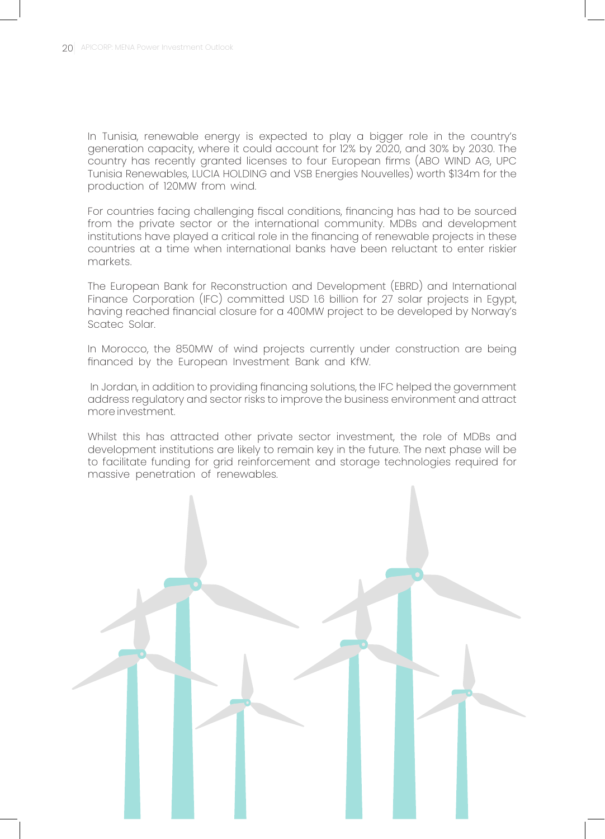In Tunisia, renewable energy is expected to play a bigger role in the country's generation capacity, where it could account for 12% by 2020, and 30% by 2030. The country has recently granted licenses to four European firms (ABO WIND AG, UPC Tunisia Renewables, LUCIA HOLDING and VSB Energies Nouvelles) worth \$134m for the production of 120MW from wind.

For countries facing challenging fiscal conditions, financing has had to be sourced from the private sector or the international community. MDBs and development institutions have played a critical role in the financing of renewable projects in these countries at a time when international banks have been reluctant to enter riskier markets.

The European Bank for Reconstruction and Development (EBRD) and International Finance Corporation (IFC) committed USD 1.6 billion for 27 solar projects in Egypt, having reached financial closure for a 400MW project to be developed by Norway's Scatec Solar.

In Morocco, the 850MW of wind projects currently under construction are being financed by the European Investment Bank and KfW.

 In Jordan, in addition to providing financing solutions, the IFC helped the government address regulatory and sector risks to improve the business environment and attract more investment.

Whilst this has attracted other private sector investment, the role of MDBs and development institutions are likely to remain key in the future. The next phase will be to facilitate funding for grid reinforcement and storage technologies required for massive penetration of renewables.

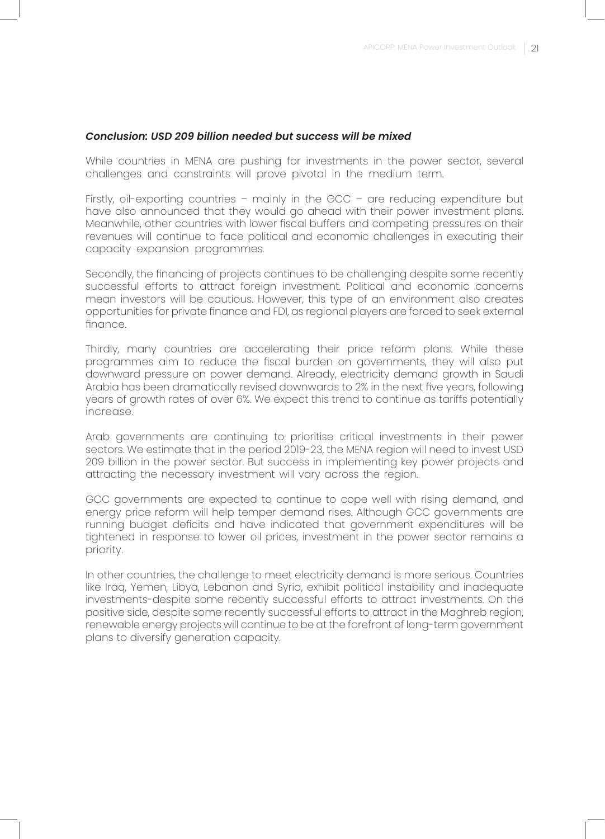#### *Conclusion: USD 209 billion needed but success will be mixed*

While countries in MENA are pushing for investments in the power sector, several challenges and constraints will prove pivotal in the medium term.

Firstly, oil-exporting countries – mainly in the GCC – are reducing expenditure but have also announced that they would go ahead with their power investment plans. Meanwhile, other countries with lower fiscal buffers and competing pressures on their revenues will continue to face political and economic challenges in executing their capacity expansion programmes.

Secondly, the financing of projects continues to be challenging despite some recently successful efforts to attract foreign investment. Political and economic concerns mean investors will be cautious. However, this type of an environment also creates opportunities for private finance and FDI, as regional players are forced to seek external finance.

Thirdly, many countries are accelerating their price reform plans. While these programmes aim to reduce the fiscal burden on governments, they will also put downward pressure on power demand. Already, electricity demand growth in Saudi Arabia has been dramatically revised downwards to 2% in the next five years, following years of growth rates of over 6%. We expect this trend to continue as tariffs potentially increase.

Arab governments are continuing to prioritise critical investments in their power sectors. We estimate that in the period 2019-23, the MENA region will need to invest USD 209 billion in the power sector. But success in implementing key power projects and attracting the necessary investment will vary across the region.

GCC governments are expected to continue to cope well with rising demand, and energy price reform will help temper demand rises. Although GCC governments are running budget deficits and have indicated that government expenditures will be tightened in response to lower oil prices, investment in the power sector remains a priority.

In other countries, the challenge to meet electricity demand is more serious. Countries like Iraq, Yemen, Libya, Lebanon and Syria, exhibit political instability and inadequate investments-despite some recently successful efforts to attract investments. On the positive side, despite some recently successful efforts to attract in the Maghreb region, renewable energy projects will continue to be at the forefront of long-term government plans to diversify generation capacity.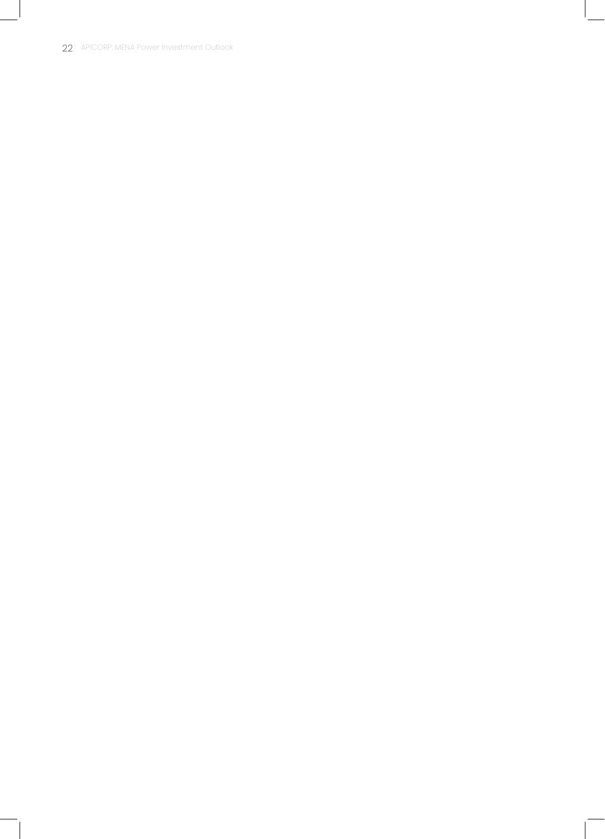22 APICORP: MENA Power Investment Outlook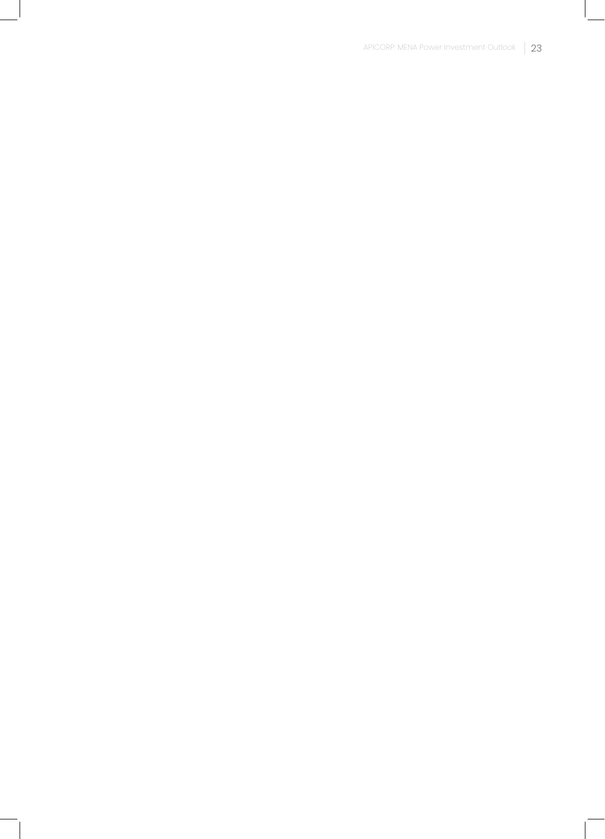APICORP: MENA Power Investment Outlook | 23